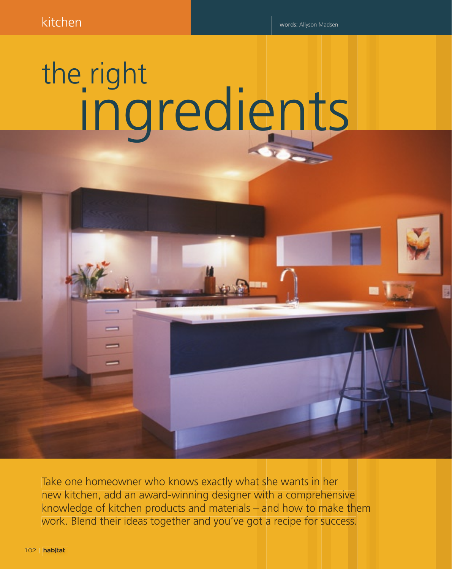## the right ingredients

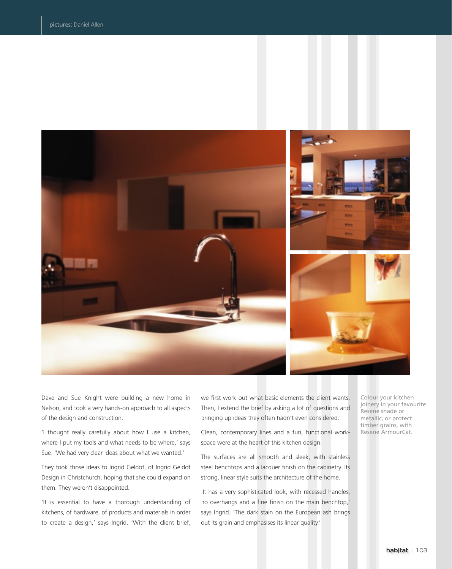

Dave and Sue Knight were building a new home in Nelson, and took a very hands-on approach to all aspects of the design and construction.

'I thought really carefully about how I use a kitchen, where I put my tools and what needs to be where,' says Sue. 'We had very clear ideas about what we wanted.'

They took those ideas to Ingrid Geldof, of Ingrid Geldof Design in Christchurch, hoping that she could expand on them. They weren't disappointed.

'It is essential to have a thorough understanding of kitchens, of hardware, of products and materials in order to create a design,' says Ingrid. 'With the client brief, we first work out what basic elements the client wants. Then, I extend the brief by asking a lot of questions and bringing up ideas they often hadn't even considered.'

Clean, contemporary lines and a fun, functional workspace were at the heart of this kitchen design.

The surfaces are all smooth and sleek, with stainless steel benchtops and a lacquer finish on the cabinetry. Its strong, linear style suits the architecture of the home.

'It has a very sophisticated look, with recessed handles, no overhangs and a fine finish on the main benchtop,' says Ingrid. 'The dark stain on the European ash brings out its grain and emphasises its linear quality.'

Colour your kitchen joinery in your favourite Resene shade or metallic, or protect timber grains, with Resene ArmourCat.